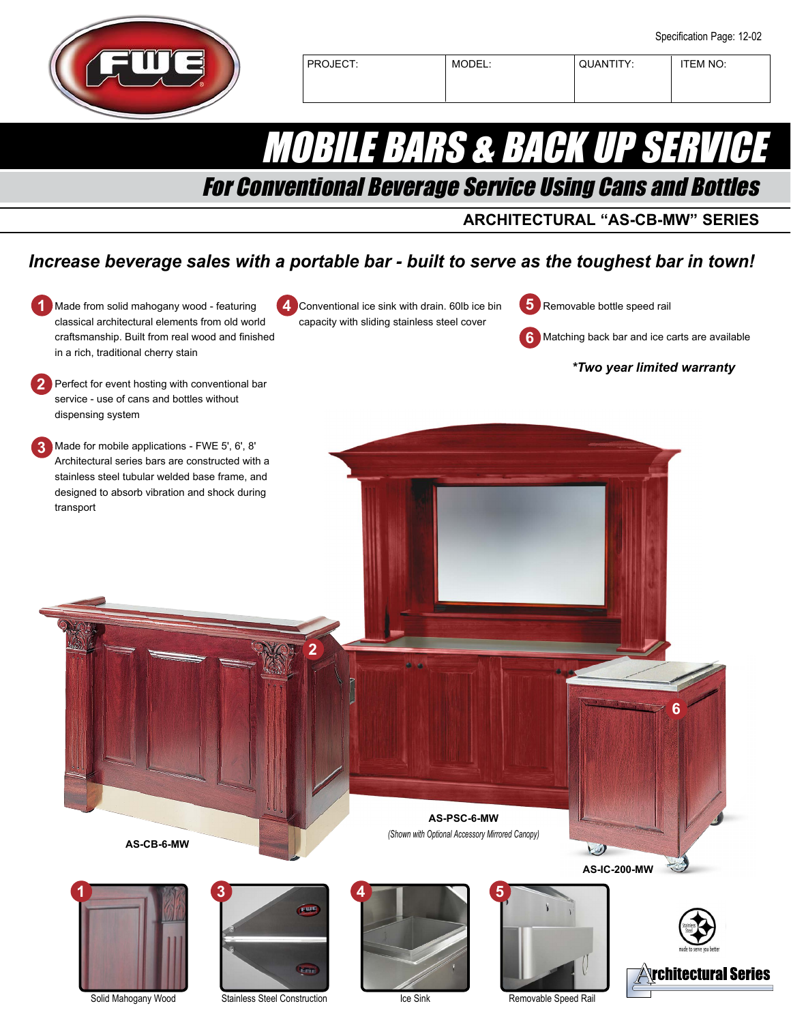

# MOBILE BARS & BACK UP SERVICE

## For Conventional Beverage Service Using Cans and Bottles

#### **ARCHITECTURAL "AS-CB-MW" SERIES**

### *Increase beverage sales with a portable bar - built to serve as the toughest bar in town!*





Eme

Ice Sink



**<u><b>Trchitectural Series**</u>